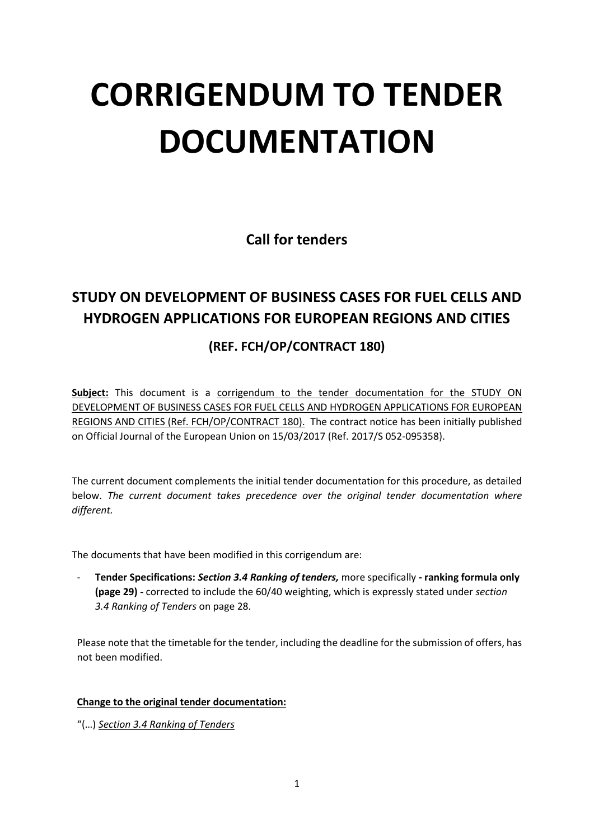## **CORRIGENDUM TO TENDER DOCUMENTATION**

**Call for tenders**

## **STUDY ON DEVELOPMENT OF BUSINESS CASES FOR FUEL CELLS AND HYDROGEN APPLICATIONS FOR EUROPEAN REGIONS AND CITIES**

## **(REF. FCH/OP/CONTRACT 180)**

Subject: This document is a corrigendum to the tender documentation for the STUDY ON DEVELOPMENT OF BUSINESS CASES FOR FUEL CELLS AND HYDROGEN APPLICATIONS FOR EUROPEAN REGIONS AND CITIES (Ref. FCH/OP/CONTRACT 180). The contract notice has been initially published on Official Journal of the European Union on 15/03/2017 (Ref. 2017/S 052-095358).

The current document complements the initial tender documentation for this procedure, as detailed below. *The current document takes precedence over the original tender documentation where different.*

The documents that have been modified in this corrigendum are:

- **Tender Specifications:** *Section 3.4 Ranking of tenders,* more specifically *-* **ranking formula only (page 29) -** corrected to include the 60/40 weighting, which is expressly stated under *section 3.4 Ranking of Tenders* on page 28.

Please note that the timetable for the tender, including the deadline for the submission of offers, has not been modified.

## **Change to the original tender documentation:**

"(…) *Section 3.4 Ranking of Tenders*